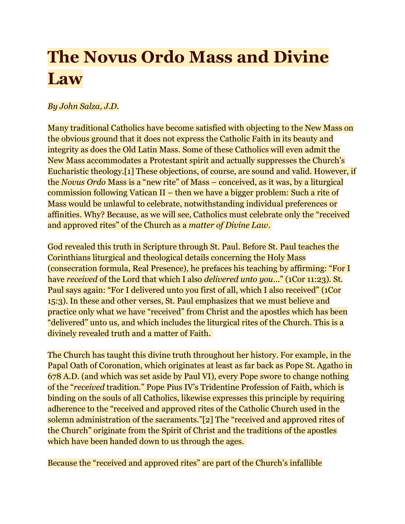## The Novus Ordo Mass and Divine **Law**

## By John Salza, J.D.

Many traditional Catholics have become satisfied with objecting to the New Mass on the obvious ground that it does not express the Catholic Faith in its beauty and integrity as does the Old Latin Mass. Some of these Catholics will even admit the New Mass accommodates a Protestant spirit and actually suppresses the Church's Eucharistic theology.[1] These objections, of course, are sound and valid. However, if the Novus Ordo Mass is a "new rite" of Mass – conceived, as it was, by a liturgical commission following Vatican II – then we have a bigger problem: Such a rite of Mass would be unlawful to celebrate, notwithstanding individual preferences or affinities. Why? Because, as we will see, Catholics must celebrate only the "received and approved rites" of the Church as a *matter of Divine Law*.

God revealed this truth in Scripture through St. Paul. Before St. Paul teaches the Corinthians liturgical and theological details concerning the Holy Mass (consecration formula, Real Presence), he prefaces his teaching by affirming: "For I have received of the Lord that which I also *delivered unto you*..." (1Cor 11:23). St. Paul says again: "For I delivered unto you first of all, which I also received" (1Cor 15:3). In these and other verses, St. Paul emphasizes that we must believe and practice only what we have "received" from Christ and the apostles which has been "delivered" unto us, and which includes the liturgical rites of the Church. This is a divinely revealed truth and a matter of Faith.

The Church has taught this divine truth throughout her history. For example, in the Papal Oath of Coronation, which originates at least as far back as Pope St. Agatho in 678 A.D. (and which was set aside by Paul VI), every Pope swore to change nothing of the "received tradition." Pope Pius IV's Tridentine Profession of Faith, which is binding on the souls of all Catholics, likewise expresses this principle by requiring adherence to the "received and approved rites of the Catholic Church used in the solemn administration of the sacraments."[2] The "received and approved rites of the Church" originate from the Spirit of Christ and the traditions of the apostles which have been handed down to us through the ages.

Because the "received and approved rites" are part of the Church's infallible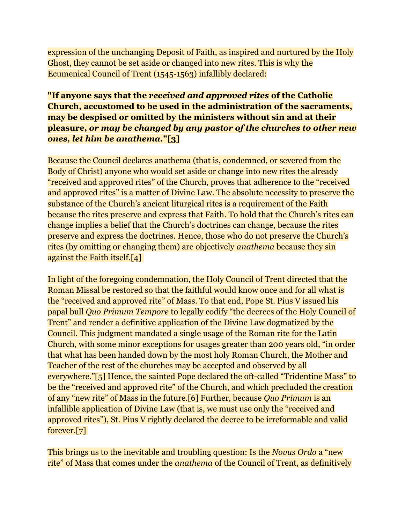expression of the unchanging Deposit of Faith, as inspired and nurtured by the Holy Ghost, they cannot be set aside or changed into new rites. This is why the Ecumenical Council of Trent (1545-1563) infallibly declared:

## "If anyone says that the received and approved rites of the Catholic Church, accustomed to be used in the administration of the sacraments, may be despised or omitted by the ministers without sin and at their pleasure, or may be changed by any pastor of the churches to other new ones, let him be anathema."[3]

Because the Council declares anathema (that is, condemned, or severed from the Body of Christ) anyone who would set aside or change into new rites the already "received and approved rites" of the Church, proves that adherence to the "received and approved rites" is a matter of Divine Law. The absolute necessity to preserve the substance of the Church's ancient liturgical rites is a requirement of the Faith because the rites preserve and express that Faith. To hold that the Church's rites can change implies a belief that the Church's doctrines can change, because the rites preserve and express the doctrines. Hence, those who do not preserve the Church's rites (by omitting or changing them) are objectively anathema because they sin against the Faith itself.[4]

In light of the foregoing condemnation, the Holy Council of Trent directed that the Roman Missal be restored so that the faithful would know once and for all what is the "received and approved rite" of Mass. To that end, Pope St. Pius V issued his papal bull Quo Primum Tempore to legally codify "the decrees of the Holy Council of Trent" and render a definitive application of the Divine Law dogmatized by the Council. This judgment mandated a single usage of the Roman rite for the Latin Church, with some minor exceptions for usages greater than 200 years old, "in order that what has been handed down by the most holy Roman Church, the Mother and Teacher of the rest of the churches may be accepted and observed by all everywhere."[5] Hence, the sainted Pope declared the oft-called "Tridentine Mass" to be the "received and approved rite" of the Church, and which precluded the creation of any "new rite" of Mass in the future.[6] Further, because Quo Primum is an infallible application of Divine Law (that is, we must use only the "received and approved rites"), St. Pius V rightly declared the decree to be irreformable and valid forever.[7]

This brings us to the inevitable and troubling question: Is the *Novus Ordo* a "new" rite" of Mass that comes under the anathema of the Council of Trent, as definitively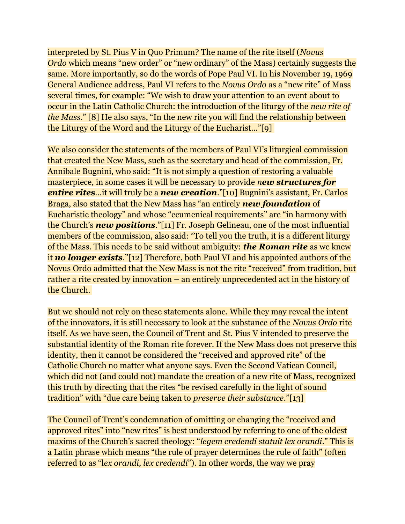interpreted by St. Pius V in Quo Primum? The name of the rite itself (Novus Ordo which means "new order" or "new ordinary" of the Mass) certainly suggests the same. More importantly, so do the words of Pope Paul VI. In his November 19, 1969 General Audience address, Paul VI refers to the Novus Ordo as a "new rite" of Mass several times, for example: "We wish to draw your attention to an event about to occur in the Latin Catholic Church: the introduction of the liturgy of the new rite of the Mass." [8] He also says, "In the new rite you will find the relationship between the Liturgy of the Word and the Liturgy of the Eucharist..."[9]

We also consider the statements of the members of Paul VI's liturgical commission that created the New Mass, such as the secretary and head of the commission, Fr. Annibale Bugnini, who said: "It is not simply a question of restoring a valuable masterpiece, in some cases it will be necessary to provide new structures for entire rites...it will truly be a new creation."[10] Bugnini's assistant, Fr. Carlos Braga, also stated that the New Mass has "an entirely new foundation of Eucharistic theology" and whose "ecumenical requirements" are "in harmony with the Church's **new positions**."[11] Fr. Joseph Gelineau, one of the most influential members of the commission, also said: "To tell you the truth, it is a different liturgy of the Mass. This needs to be said without ambiguity: **the Roman rite** as we knew it no longer exists."[12] Therefore, both Paul VI and his appointed authors of the Novus Ordo admitted that the New Mass is not the rite "received" from tradition, but rather a rite created by innovation – an entirely unprecedented act in the history of the Church.

But we should not rely on these statements alone. While they may reveal the intent of the innovators, it is still necessary to look at the substance of the Novus Ordo rite itself. As we have seen, the Council of Trent and St. Pius V intended to preserve the substantial identity of the Roman rite forever. If the New Mass does not preserve this identity, then it cannot be considered the "received and approved rite" of the Catholic Church no matter what anyone says. Even the Second Vatican Council, which did not (and could not) mandate the creation of a new rite of Mass, recognized this truth by directing that the rites "be revised carefully in the light of sound tradition" with "due care being taken to preserve their substance."[13]

The Council of Trent's condemnation of omitting or changing the "received and approved rites" into "new rites" is best understood by referring to one of the oldest maxims of the Church's sacred theology: "legem credendi statuit lex orandi." This is a Latin phrase which means "the rule of prayer determines the rule of faith" (often referred to as "lex orandi, lex credendi"). In other words, the way we pray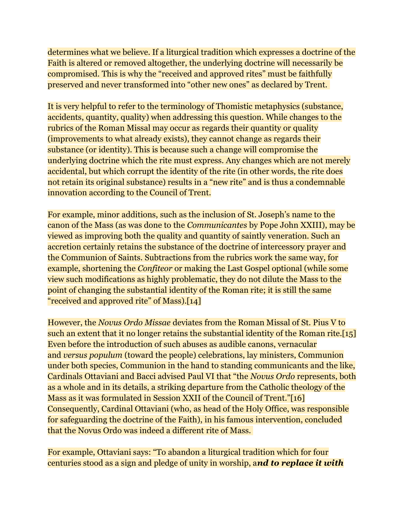determines what we believe. If a liturgical tradition which expresses a doctrine of the Faith is altered or removed altogether, the underlying doctrine will necessarily be compromised. This is why the "received and approved rites" must be faithfully preserved and never transformed into "other new ones" as declared by Trent.

It is very helpful to refer to the terminology of Thomistic metaphysics (substance, accidents, quantity, quality) when addressing this question. While changes to the rubrics of the Roman Missal may occur as regards their quantity or quality (improvements to what already exists), they cannot change as regards their substance (or identity). This is because such a change will compromise the underlying doctrine which the rite must express. Any changes which are not merely accidental, but which corrupt the identity of the rite (in other words, the rite does not retain its original substance) results in a "new rite" and is thus a condemnable innovation according to the Council of Trent.

For example, minor additions, such as the inclusion of St. Joseph's name to the canon of the Mass (as was done to the Communicantes by Pope John XXIII), may be viewed as improving both the quality and quantity of saintly veneration. Such an accretion certainly retains the substance of the doctrine of intercessory prayer and the Communion of Saints. Subtractions from the rubrics work the same way, for example, shortening the Confiteor or making the Last Gospel optional (while some view such modifications as highly problematic, they do not dilute the Mass to the point of changing the substantial identity of the Roman rite; it is still the same "received and approved rite" of Mass).[14]

However, the Novus Ordo Missae deviates from the Roman Missal of St. Pius V to such an extent that it no longer retains the substantial identity of the Roman rite.[15] Even before the introduction of such abuses as audible canons, vernacular and versus populum (toward the people) celebrations, lay ministers, Communion under both species, Communion in the hand to standing communicants and the like, Cardinals Ottaviani and Bacci advised Paul VI that "the Novus Ordo represents, both as a whole and in its details, a striking departure from the Catholic theology of the Mass as it was formulated in Session XXII of the Council of Trent."[16] Consequently, Cardinal Ottaviani (who, as head of the Holy Office, was responsible for safeguarding the doctrine of the Faith), in his famous intervention, concluded that the Novus Ordo was indeed a different rite of Mass.

For example, Ottaviani says: "To abandon a liturgical tradition which for four centuries stood as a sign and pledge of unity in worship, and to replace it with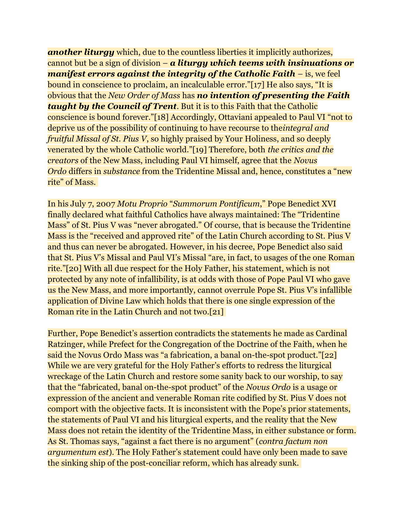**another liturgy** which, due to the countless liberties it implicitly authorizes, cannot but be a sign of division  $-\alpha$  liturgy which teems with insinuations or manifest errors against the integrity of the Catholic Faith  $-$  is, we feel bound in conscience to proclaim, an incalculable error."[17] He also says, "It is obvious that the New Order of Mass has **no intention of presenting the Faith** taught by the Council of Trent. But it is to this Faith that the Catholic conscience is bound forever."[18] Accordingly, Ottaviani appealed to Paul VI "not to deprive us of the possibility of continuing to have recourse to theintegral and fruitful Missal of St. Pius V, so highly praised by Your Holiness, and so deeply venerated by the whole Catholic world."[19] Therefore, both the critics and the creators of the New Mass, including Paul VI himself, agree that the Novus Ordo differs in substance from the Tridentine Missal and, hence, constitutes a "new rite" of Mass.

In his July 7, 2007 Motu Proprio "Summorum Pontificum," Pope Benedict XVI finally declared what faithful Catholics have always maintained: The "Tridentine Mass" of St. Pius V was "never abrogated." Of course, that is because the Tridentine Mass is the "received and approved rite" of the Latin Church according to St. Pius V and thus can never be abrogated. However, in his decree, Pope Benedict also said that St. Pius V's Missal and Paul VI's Missal "are, in fact, to usages of the one Roman rite."[20] With all due respect for the Holy Father, his statement, which is not protected by any note of infallibility, is at odds with those of Pope Paul VI who gave us the New Mass, and more importantly, cannot overrule Pope St. Pius V's infallible application of Divine Law which holds that there is one single expression of the Roman rite in the Latin Church and not two.[21]

Further, Pope Benedict's assertion contradicts the statements he made as Cardinal Ratzinger, while Prefect for the Congregation of the Doctrine of the Faith, when he said the Novus Ordo Mass was "a fabrication, a banal on-the-spot product."[22] While we are very grateful for the Holy Father's efforts to redress the liturgical wreckage of the Latin Church and restore some sanity back to our worship, to say that the "fabricated, banal on-the-spot product" of the Novus Ordo is a usage or expression of the ancient and venerable Roman rite codified by St. Pius V does not comport with the objective facts. It is inconsistent with the Pope's prior statements, the statements of Paul VI and his liturgical experts, and the reality that the New Mass does not retain the identity of the Tridentine Mass, in either substance or form. As St. Thomas says, "against a fact there is no argument" (contra factum non argumentum est). The Holy Father's statement could have only been made to save the sinking ship of the post-conciliar reform, which has already sunk.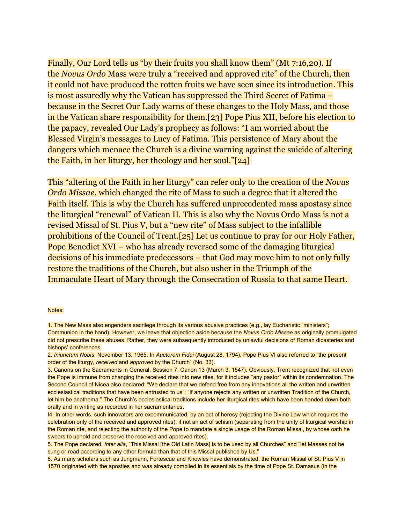Finally, Our Lord tells us "by their fruits you shall know them" (Mt 7:16,20). If the Novus Ordo Mass were truly a "received and approved rite" of the Church, then it could not have produced the rotten fruits we have seen since its introduction. This is most assuredly why the Vatican has suppressed the Third Secret of Fatima – because in the Secret Our Lady warns of these changes to the Holy Mass, and those in the Vatican share responsibility for them.[23] Pope Pius XII, before his election to the papacy, revealed Our Lady's prophecy as follows: "I am worried about the Blessed Virgin's messages to Lucy of Fatima. This persistence of Mary about the dangers which menace the Church is a divine warning against the suicide of altering the Faith, in her liturgy, her theology and her soul."[24]

This "altering of the Faith in her liturgy" can refer only to the creation of the Novus Ordo Missae, which changed the rite of Mass to such a degree that it altered the Faith itself. This is why the Church has suffered unprecedented mass apostasy since the liturgical "renewal" of Vatican II. This is also why the Novus Ordo Mass is not a revised Missal of St. Pius V, but a "new rite" of Mass subject to the infallible prohibitions of the Council of Trent.[25] Let us continue to pray for our Holy Father, Pope Benedict XVI – who has already reversed some of the damaging liturgical decisions of his immediate predecessors – that God may move him to not only fully restore the traditions of the Church, but also usher in the Triumph of the Immaculate Heart of Mary through the Consecration of Russia to that same Heart.

## Notes:

<sup>1.</sup> The New Mass also engenders sacrilege through its various abusive practices (e.g., lay Eucharistic "ministers"; Communion in the hand). However, we leave that objection aside because the Novus Ordo Missae as originally promulgated did not prescribe these abuses. Rather, they were subsequently introduced by unlawful decisions of Roman dicasteries and bishops' conferences.

<sup>2.</sup> Iniunctum Nobis, November 13, 1965. In Auctorem Fidei (August 28, 1794), Pope Pius VI also referred to "the present order of the liturgy, received and approved by the Church" (No. 33).

<sup>3.</sup> Canons on the Sacraments in General, Session 7, Canon 13 (March 3, 1547). Obviously, Trent recognized that not even the Pope is immune from changing the received rites into new rites, for it includes "any pastor" within its condemnation. The Second Council of Nicea also declared: "We declare that we defend free from any innovations all the written and unwritten ecclesiastical traditions that have been entrusted to us"; "If anyone rejects any written or unwritten Tradition of the Church, let him be anathema." The Church's ecclesiastical traditions include her liturgical rites which have been handed down both orally and in writing as recorded in her sacramentaries.

I4. In other words, such innovators are excommunicated, by an act of heresy (rejecting the Divine Law which requires the celebration only of the received and approved rites), if not an act of schism (separating from the unity of liturgical worship in the Roman rite, and rejecting the authority of the Pope to mandate a single usage of the Roman Missal, by whose oath he swears to uphold and preserve the received and approved rites).

<sup>5.</sup> The Pope declared, inter alia, "This Missal [the Old Latin Mass] is to be used by all Churches" and "let Masses not be sung or read according to any other formula than that of this Missal published by Us."

<sup>6.</sup> As many scholars such as Jungmann, Fortescue and Knowles have demonstrated, the Roman Missal of St. Pius V in 1570 originated with the apostles and was already compiled in its essentials by the time of Pope St. Damasus (in the